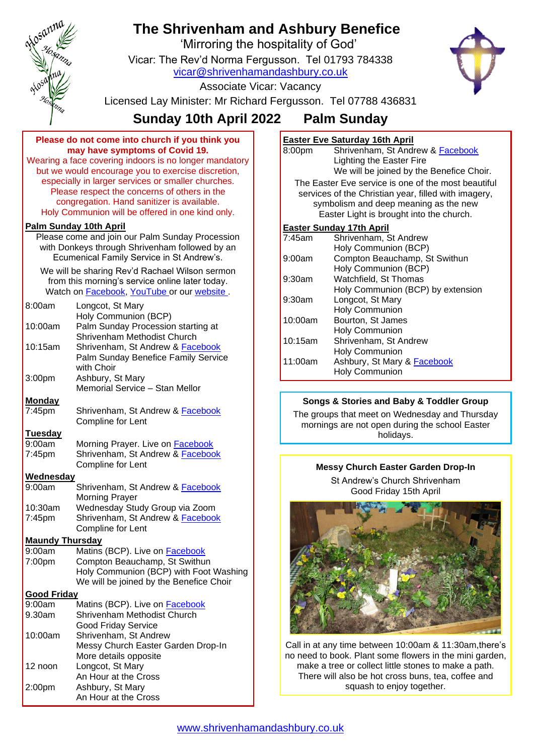

# **The Shrivenham and Ashbury Benefice**

'Mirroring the hospitality of God'

Vicar: The Rev'd Norma Fergusson. Tel 01793 784338 [vicar@shrivenhamandashbury.co.uk](mailto:vicar@shrivenhamandashbury.co.uk)



Associate Vicar: Vacancy

Licensed Lay Minister: Mr Richard Fergusson. Tel 07788 436831

# **Sunday 10th April 2022 Palm Sunday**

**Please do not come into church if you think you may have symptoms of Covid 19.**

Wearing a face covering indoors is no longer mandatory but we would encourage you to exercise discretion, especially in larger services or smaller churches. Please respect the concerns of others in the congregation. Hand sanitizer is available. Holy Communion will be offered in one kind only.

# **Palm Sunday 10th April**

Please come and join our Palm Sunday Procession with Donkeys through Shrivenham followed by an Ecumenical Family Service in St Andrew's.

We will be sharing Rev'd Rachael Wilson sermon from this morning's service online later today. Watch on [Facebook,](https://www.facebook.com/shrivenhamandashbury/videos/) [YouTube](https://www.youtube.com/channel/UCEggTi-rB5GB9AQzwETv4-Q/videos) or our [website](http://www.shrivenhamandashbury.co.uk/).

| 8:00am                       | Longcot, St Mary                                                        |  |
|------------------------------|-------------------------------------------------------------------------|--|
|                              | Holy Communion (BCP)                                                    |  |
| 10:00am                      | Palm Sunday Procession starting at                                      |  |
| 10:15am                      | Shrivenham Methodist Church<br>Shrivenham, St Andrew & Facebook         |  |
|                              | Palm Sunday Benefice Family Service                                     |  |
|                              | with Choir                                                              |  |
| 3:00pm                       | Ashbury, St Mary                                                        |  |
|                              | Memorial Service - Stan Mellor                                          |  |
| <b>Monday</b>                |                                                                         |  |
| 7:45pm                       | Shrivenham, St Andrew & <b>Facebook</b>                                 |  |
|                              | Compline for Lent                                                       |  |
| <b>Tuesday</b>               |                                                                         |  |
| 9:00am                       | Morning Prayer. Live on <b>Facebook</b>                                 |  |
| 7:45pm                       | Shrivenham, St Andrew & Facebook                                        |  |
|                              | Compline for Lent                                                       |  |
| Wednesday                    |                                                                         |  |
| 9:00am                       | Shrivenham, St Andrew & <b>Facebook</b>                                 |  |
|                              | <b>Morning Prayer</b>                                                   |  |
| 10:30am                      | Wednesday Study Group via Zoom                                          |  |
| 7:45pm                       | Shrivenham, St Andrew & Facebook                                        |  |
|                              | Compline for Lent                                                       |  |
| <b>Maundy Thursday</b>       |                                                                         |  |
| 9:00am                       | Matins (BCP). Live on <b>Facebook</b>                                   |  |
| 7:00pm                       | Compton Beauchamp, St Swithun<br>Holy Communion (BCP) with Foot Washing |  |
|                              | We will be joined by the Benefice Choir                                 |  |
|                              |                                                                         |  |
| <b>Good Friday</b><br>9:00am | Matins (BCP). Live on <b>Facebook</b>                                   |  |
| 9.30am                       | Shrivenham Methodist Church                                             |  |
|                              | <b>Good Friday Service</b>                                              |  |
| $10.00$ am                   | Shriyanham, St Andraw                                                   |  |

|         | <b>Good Friday Service</b>         |
|---------|------------------------------------|
| 10:00am | Shrivenham, St Andrew              |
|         | Messy Church Easter Garden Drop-In |
|         | More details opposite              |
| 12 noon | Longcot, St Mary                   |
|         | An Hour at the Cross               |
| 2:00pm  | Ashbury, St Mary                   |
|         | An Hour at the Cross               |

# **Easter Eve Saturday 16th April**

8:00pm Shrivenham, St Andrew & [Facebook](https://www.facebook.com/shrivenhamandashbury/live_videos/) Lighting the Easter Fire We will be joined by the Benefice Choir.

The Easter Eve service is one of the most beautiful services of the Christian year, filled with imagery. symbolism and deep meaning as the new Easter Light is brought into the church.

#### **Easter Sunday 17th April**

| $7:45$ am | Shrivenham, St Andrew             |
|-----------|-----------------------------------|
|           | Holy Communion (BCP)              |
| 9:00am    | Compton Beauchamp, St Swithun     |
|           | Holy Communion (BCP)              |
| $9:30$ am | Watchfield, St Thomas             |
|           | Holy Communion (BCP) by extension |
| 9:30am    | Longcot, St Mary                  |
|           | <b>Holy Communion</b>             |
| 10:00am   | Bourton, St James                 |
|           | <b>Holy Communion</b>             |
| 10:15am   | Shrivenham, St Andrew             |
|           | <b>Holy Communion</b>             |
| 11:00am   | Ashbury, St Mary & Facebook       |
|           | <b>Holy Communion</b>             |
|           |                                   |

# **Songs & Stories and Baby & Toddler Group**

The groups that meet on Wednesday and Thursday mornings are not open during the school Easter holidays.

### **Messy Church Easter Garden Drop-In**

St Andrew's Church Shrivenham Good Friday 15th April



Call in at any time between 10:00am & 11:30am,there's no need to book. Plant some flowers in the mini garden, make a tree or collect little stones to make a path. There will also be hot cross buns, tea, coffee and squash to enjoy together.